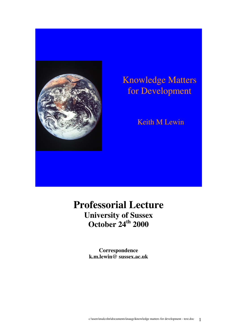

# Knowledge Matters for Development

### Keith M Lewin

## **Professorial Lecture University of Sussex October 24th 2000**

**Correspondence k.m.lewin@ sussex.ac.uk**

c:\users\malcolm\documents\inaugs\knowledge matters for development - text.doc 1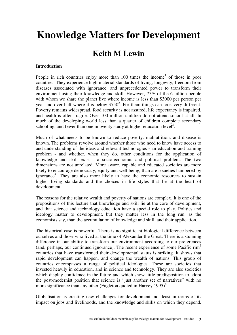# **Knowledge Matters for Development**

### **Keith M Lewin**

#### **Introduction**

People in rich countries enjoy more than  $100$  times the income<sup>1</sup> of those in poor countries. They experience high material standards of living, longevity, freedom from diseases associated with ignorance, and unprecedented power to transform their environment using their knowledge and skill. However, 75% of the 6 billion people with whom we share the planet live where income is less than \$3000 per person per year and over half where it is below  $$750^2$ . For them things can look very different. Poverty remains widespread, food security is not assured, life expectancy is impaired, and health is often fragile. Over 100 million children do not attend school at all. In much of the developing world less than a quarter of children complete secondary schooling, and fewer than one in twenty study at higher education level<sup>3</sup>.

Much of what needs to be known to reduce poverty, malnutrition, and disease is known. The problems revolve around whether those who need to know have access to and understanding of the ideas and relevant technologies - an education and training problem - and whether, when they do, other conditions for the application of knowledge and skill exist - a socio-economic and political problem. The two dimensions are not unrelated. More aware, capable and educated societies are more likely to encourage democracy, equity and well being, than are societies hampered by ignorance<sup>4</sup>. They are also more likely to have the economic resources to sustain higher living standards and the choices in life styles that lie at the heart of development.

The reasons for the relative wealth and poverty of nations are complex. It is one of the propositions of this lecture that knowledge and skill lie at the core of development, and that science and technology education have a special role to play. Politics and ideology matter to development, but they matter less in the long run, as the economists say, than the accumulation of knowledge and skill, and their application.

The historical case is powerful. There is no significant biological difference between ourselves and those who lived at the time of Alexander the Great. There is a stunning difference in our ability to transform our environment according to our preferences (and, perhaps, our continued ignorance). The recent experience of some Pacific  $\text{rim}^5$ countries that have transformed their developmental status is striking. It shows that rapid development can happen, and change the wealth of nations. This group of countries encompasses a range of political ideologies. These are societies that invested heavily in education, and in science and technology. They are also societies which display confidence in the future and which show little predisposition to adopt the post-modernist position that science is "just another set of narratives" with no more significance than any other (Eagleton quoted in Harvey  $1995)$ <sup>6</sup>.

Globalisation is creating new challenges for development, not least in terms of its impact on jobs and livelihoods, and the knowledge and skills on which they depend.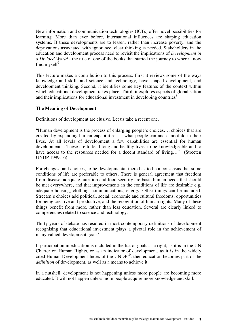New information and communication technologies (ICTs) offer novel possibilities for learning. More than ever before, international influences are shaping education systems. If these developments are to lessen, rather than increase poverty, and the deprivations associated with ignorance, clear thinking is needed. Stakeholders in the education and development process need to revisit the implications of *Development in a Divided World* - the title of one of the books that started the journey to where I now find myself<sup>7</sup>.

This lecture makes a contribution to this process. First it reviews some of the ways knowledge and skill, and science and technology, have shaped development, and development thinking. Second, it identifies some key features of the context within which educational development takes place. Third, it explores aspects of globalisation and their implications for educational investment in developing countries  $\overline{\text{S}}$ .

#### **The Meaning of Development**

Definitions of development are elusive. Let us take a recent one.

"Human development is the process of enlarging people's choices…. choices that are created by expanding human capabilities….. what people can and cannot do in their lives. At all levels of development a few capabilities are essential for human development….These are to lead long and healthy lives, to be knowledgeable and to have access to the resources needed for a decent standard of living..." (Streeten UNDP 1999:16)

For changes, and choices, to be developmental there has to be a consensus that some conditions of life are preferable to others. There is general agreement that freedom from disease, adequate nutrition and food security are basic human needs that should be met everywhere, and that improvements in the conditions of life are desirable e.g. adequate housing, clothing, communications, energy. Other things can be included. Streeten's choices add political, social, economic and cultural freedoms, opportunities for being creative and productive, and the recognition of human rights. Many of these things benefit from more, rather than less education. Several are clearly linked to competencies related to science and technology.

Thirty years of debate has resulted in most contemporary definitions of development recognising that educational investment plays a pivotal role in the achievement of many valued development goals<sup>9</sup>.

If participation in education is included in the list of goals as a right, as it is in the UN Charter on Human Rights, or as an indicator of development, as it is in the widely cited Human Development Index of the UNDP<sup>10</sup>, then education becomes part of the *definition* of development, as well as a means to achieve it.

In a nutshell, development is not happening unless more people are becoming more educated. It will not happen unless more people acquire more knowledge and skill.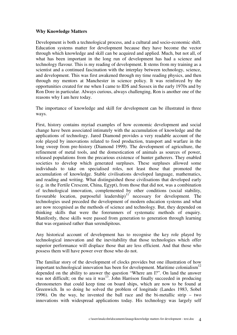#### **Why Knowledge Matters**

Development is both a technological process, and a cultural and socio-economic shift. Education systems matter for development because they have become the vector through which knowledge and skill can be acquired and applied. Much, but not all, of what has been important in the long run of development has had a science and technology flavour. This is my reading of development. It stems from my training as a scientist and a continued fascination with the interplay between technology, science, and development. This was first awakened through my time reading physics, and then through my mentors at Manchester in science policy. It was reinforced by the opportunities created for me when I came to IDS and Sussex in the early 1970s and by Ron Dore in particular. Always curious, always challenging, Ron is another one of the reasons why I am here today.

The importance of knowledge and skill for development can be illustrated in three ways.

First, history contains myriad examples of how economic development and social change have been associated intimately with the accumulation of knowledge and the applications of technology. Jared Diamond provides a very readable account of the role played by innovations related to food production, transport and warfare in the long sweep from pre-history (Diamond 1999). The development of agriculture, the refinement of metal tools, and the domestication of animals as sources of power, released populations from the precarious existence of hunter gatherers. They enabled societies to develop which generated surpluses. These surpluses allowed some individuals to take on specialised roles, not least those that promoted the accumulation of knowledge. Stable civilisations developed language, mathematics, and reading and writing. What distinguished those civilisations that developed early (e.g. in the Fertile Crescent, China, Egypt), from those that did not, was a combination of technological innovation, complemented by other conditions (social stability, favourable location, purposeful leadership) $11$  necessary for development. The technologies used preceded the development of modern education systems and what are now recognised as the methods of science and technology. But, they depended on thinking skills that were the forerunners of systematic methods of enquiry. Manifestly, these skills were passed from generation to generation through learning that was organised rather than serendipitous.

Any historical account of development has to recognise the key role played by technological innovation and the inevitability that those technologies which offer superior performance will displace those that are less efficient. And that those who possess them will have power over those who do not.

The familiar story of the development of clocks provides but one illustration of how important technological innovation has been for development. Maritime colonialism<sup>12</sup> depended on the ability to answer the question "Where am I?". On land the answer was not difficult; on the sea it was $<sup>13</sup>$ . John Harrison finally succeeded in producing</sup> chronometers that could keep time on board ships, which are now to be found at Greenwich. In so doing he solved the problem of longitude (Landes 1983, Sobel 1996). On the way, he invented the ball race and the bi-metallic strip – two innovations with widespread applications today. His technology was largely self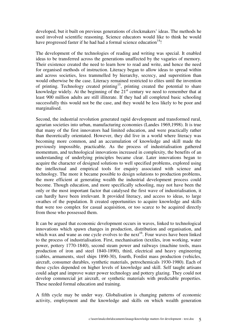developed, but it built on previous generations of clockmakers' ideas. The methods he used involved scientific reasoning. Science educators would like to think he would have progressed faster if he had had a formal science education $^{14}$ !

The development of the technologies of reading and writing was special. It enabled ideas to be transferred across the generations unaffected by the vagaries of memory. Their existence created the need to learn how to read and write, and hence the need for organised methods of instruction. Literacy began to allow ideas to spread within and across societies, less trammelled by hierarchy, secrecy, and superstition than would otherwise be the case. Literacy remained restricted to elites until the invention of printing. Technology created printing<sup>15</sup>, printing created the potential to share knowledge widely. At the beginning of the 21<sup>st</sup> century we need to remember that at least 900 million adults are still illiterate. If they had all completed basic schooling successfully this would not be the case, and they would be less likely to be poor and marginalised.

Second, the industrial revolution generated rapid development and transformed rural, agrarian societies into urban, manufacturing economies (Landes 1969,1998). It is true that many of the first innovators had limited education, and were practically rather than theoretically orientated. However, they did live in a world where literacy was becoming more common, and an accumulation of knowledge and skill made the previously impossible, practicable. As the process of industrialisation gathered momentum, and technological innovations increased in complexity, the benefits of an understanding of underlying principles became clear. Later innovations began to acquire the character of designed solutions to well specified problems, explored using the intellectual and empirical tools for enquiry associated with science and technology. The more it became possible to design solutions to production problems, the more efficient at generating wealth the industrial development process could become. Though education, and more specifically schooling, may not have been the only or the most important factor that catalysed the first wave of industrialisation, it can hardly have been irrelevant. It provided literacy, and access to ideas, to large swathes of the population. It created opportunities to acquire knowledge and skills that were too complex for casual acquisition, or too scarce to be acquired directly from those who possessed them.

It can be argued that economic development occurs in waves, linked to technological innovations which spawn changes in production, distribution and organisation, and which wax and wane as one cycle evolves to the next<sup>16</sup>. Four waves have been linked to the process of industrialisation. First, mechanisation (textiles, iron working, water power, pottery 1770-1840), second steam power and railways (machine tools, mass production of iron and steel 1840-1890), third, electrical and heavy engineering (cables, armaments, steel ships 1890-30), fourth, Fordist mass production (vehicles, aircraft, consumer durables, synthetic materials, petrochemicals 1930-1980). Each of these cycles depended on higher levels of knowledge and skill. Self taught artisans could adapt and improve water power technology and pottery glazing. They could not develop commercial jet aircraft, or synthetic materials with predictable properties. These needed formal education and training.

A fifth cycle may be under way. Globalisation is changing patterns of economic activity, employment and the knowledge and skills on which wealth generation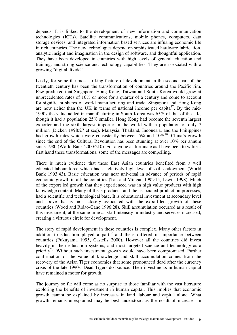depends. It is linked to the development of new information and communication technologies (ICTs). Satellite communications, mobile phones, computers, data storage devices, and integrated information based services are infusing economic life in rich countries. The new technologies depend on sophisticated hardware fabrication, analytic insight and imagination in the design of software, and thoughtful application. They have been developed in countries with high levels of general education and training, and strong science and technology capabilities. They are associated with a growing "digital divide".

Lastly, for some the most striking feature of development in the second part of the twentieth century has been the transformation of countries around the Pacific rim. Few predicted that Singapore, Hong Kong, Taiwan and South Korea would grow at unprecedented rates of 10% or more for a quarter of a century and come to account for significant shares of world manufacturing and trade. Singapore and Hong Kong are now richer than the UK in terms of national income per capita<sup>17</sup>. By the mid-1990s the value added in manufacturing in South Korea was 65% of that of the UK, though it had a population 25% smaller. Hong Kong had become the seventh largest exporter and the sixth largest importer in the world with a population of only 7 million (Dicken 1998:27 et seq). Malaysia, Thailand, Indonesia, and the Philippines had growth rates which were consistently between  $5\%$  and  $10\%$ <sup>18</sup>. China's growth since the end of the Cultural Revolution has been stunning at over 10% per annum since 1980 (World Bank 2000:210). For anyone as fortunate as I have been to witness first hand these transformations, some of the messages are compelling.

There is much evidence that these East Asian countries benefited from a well educated labour force which had a relatively high level of skill endowment (World Bank 1993:43). Basic education was near universal in advance of periods of rapid economic growth in all the countries (Tan and Mingat, 1992:15, Lewin 1998). Much of the export led growth that they experienced was in high value products with high knowledge content. Many of these products, and the associated production processes, had a scientific and technological base. It is educational investment at secondary level and above that is most closely associated with the export-led growth of these countries (Wood and Ridao-Cano 1996:28). Skill accumulation occurred as a result of this investment, at the same time as skill intensity in industry and services increased, creating a virtuous circle for development.

The story of rapid development in these countries is complex. Many other factors in addition to education played a part<sup>19</sup> and these differed in importance between countries (Fukuyama 1995, Castells 2000). However all the countries did invest heavily in their education systems, and most targeted science and technology as a priority<sup>20</sup>. Without such investment growth would have been compromised. Further confirmation of the value of knowledge and skill accumulation comes from the recovery of the Asian Tiger economies that some pronounced dead after the currency crisis of the late 1990s. Dead Tigers do bounce. Their investments in human capital have remained a motor for growth.

The journey so far will come as no surprise to those familiar with the vast literature exploring the benefits of investment in human capital. This implies that economic growth cannot be explained by increases in land, labour and capital alone. What growth remains unexplained may be best understood as the result of increases in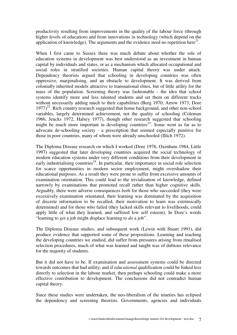productivity resulting from improvements in the quality of the labour force (through higher levels of education) and from innovations in technology (which depend on the application of knowledge). The arguments and the evidence need no repetition here $^{21}$ .

When I first came to Sussex there was much debate about whether the role of education systems in development was best understood as an investment in human capital by individuals and states, or as a mechanism which allocated occupational and social roles in stratified societies. Human capital theory was under attack. Dependency theorists argued that schooling in developing countries was often oppressive, marginalising, and an obstacle to development. It was derived from colonially inherited models attractive to transnational elites, but of little utility for the mass of the population. Screening theory was fashionable - the idea that school systems identify more and less talented students and set them on different tracks without necessarily adding much to their capabilities (Berg 1970, Arrow 1973, Dore  $1977)^{22}$ . Rich country research suggested that home background, and other non-school variables, largely determined achievement, not the quality of schooling (Coleman 1966, Jencks 1972, Halsey 1977), though other research suggested that schooling might be much more important in developing countries<sup>23</sup>. Some went as far as to advocate de-schooling society - a prescription that seemed especially punitive for those in poor countries, many of whom were already unschooled (Illich 1972).

The Diploma Disease research on which I worked (Dore 1976, Oxenham 1984, Little 1997) suggested that later developing countries acquired the social technology of modern education systems under very different conditions from their development in early industrialising countries<sup>24</sup>. In particular, their importance in social role selection for scarce opportunities in modern sector employment, might overshadow their educational purposes. As a result they were prone to suffer from excessive amounts of examination orientation. This could lead to the trivialisation of knowledge, defined narrowly by examinations that promoted recall rather than higher cognitive skills. Arguably, there were adverse consequences *both* for those who succeeded (they were excessively examination orientated, their learning was dominated by the acquisition of discrete information to be recalled, their motivation to learn was extrinsically determined) and for those who failed (they lacked skills relevant to livelihoods, could apply little of what they learned, and suffered low self esteem). In Dore's words "learning to *get* a job might displace learning to *do* a job".

The Diploma Disease studies, and subsequent work (Lewin with Stuart 1991), did produce evidence that supported some of these propositions. Learning and teaching the developing countries we studied, did suffer from pressures arising from ritualised selection procedures, much of what was learned and taught was of dubious relevance for the majority of students.

But it did not have to be. If examination and assessment systems could be directed towards outcomes that had utility; and if *educational* qualification could be linked less directly to selection in the labour market, then perhaps schooling could make a more effective contribution to development. The conclusions did not contradict human capital theory.

Since these studies were undertaken, the neo-liberalism of the nineties has eclipsed the dependency and screening theorists. Governments, agencies and individuals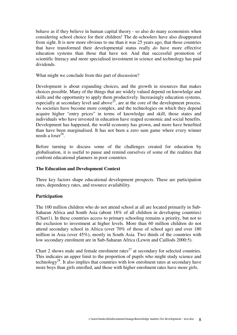behave as if they believe in human capital theory - so also do many economists when considering school choice for their children! The de-schoolers have also disappeared from sight. It is now more obvious to me than it was 25 years ago, that those countries that have transformed their developmental status really *do* have more effective education systems than those that have not. And that successful promotion of scientific literacy and more specialised investment in science and technology has paid dividends.

What might we conclude from this part of discussion?

Development is about expanding choices, and the growth in resources that makes choices possible. Many of the things that are widely valued depend on knowledge and skills and the opportunity to apply them productively. Increasingly education systems, especially at secondary level and above<sup>25</sup>, are at the core of the development process. As societies have become more complex, and the technologies on which they depend acquire higher "entry prices" in terms of knowledge and skill, those states and individuals who have invested in education have reaped economic and social benefits. Development has happened, the world economy has grown, and more have benefited than have been marginalised. It has not been a zero sum game where every winner needs a  $loser<sup>26</sup>$ .

Before turning to discuss some of the challenges created for education by globalisation, it is useful to pause and remind ourselves of some of the realities that confront educational planners in poor countries.

#### **The Education and Development Context**

Three key factors shape educational development prospects. These are participation rates, dependency rates, and resource availability.

#### **Participation**

The 100 million children who do not attend school at all are located primarily in Sub-Saharan Africa and South Asia (about 18% of all children in developing countries) (Chart1). In these countries access to primary schooling remains a priority, but not to the exclusion to investment at higher levels. More than 60 million children do not attend secondary school in Africa (over 70% of those of school age) and over 180 million in Asia (over 45%), mostly in South Asia. Two thirds of the countries with low secondary enrolment are in Sub-Saharan Africa (Lewin and Caillods 2000:5).

Chart 2 shows male and female enrolment rates<sup>27</sup> at secondary for selected countries. This indicates an upper limit to the proportion of pupils who might study science and technology<sup>28</sup>. It also implies that countries with low enrolment rates at secondary have more boys than girls enrolled, and those with higher enrolment rates have more girls.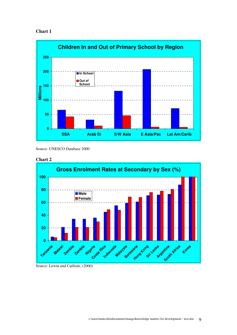



Source: UNESCO Database 2000





Source: Lewin and Caillods, (2000)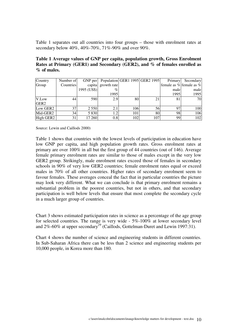Table 1 separates out all countries into four groups – those with enrolment rates at secondary below 40%, 40%-70%, 71%-90% and over 90%.

| Table 1 Average values of GNP per capita, population growth, Gross Enrolment |  |
|------------------------------------------------------------------------------|--|
| Rates at Primary (GER1) and Secondary (GER2), and % of females enrolled as   |  |
| $\%$ of males.                                                               |  |

| Country          | Number of       |             |                    |     | GNP per   Population   GER1 1995   GER2 1995 | Primary | Secondary               |
|------------------|-----------------|-------------|--------------------|-----|----------------------------------------------|---------|-------------------------|
| Group            | Countries       |             | capita growth rate |     |                                              |         | female as % female as % |
|                  |                 | 1995 (US\$) | $\%$               |     |                                              | male    | male                    |
|                  |                 |             | 1995               |     |                                              | 1995    | 1995                    |
| V.Low            | 44              | 590         | 2.9                | 80  | 21                                           | 81      | 70                      |
| GER <sub>2</sub> |                 |             |                    |     |                                              |         |                         |
| Low GER2         | 37              | 2 5 5 0     | 2.1                | 106 | 56                                           | 97      | 100                     |
| Mid-GER2         | 34 <sub>1</sub> | 5 8 3 0     | 1.2                | 101 | 80                                           | 98      | 106                     |
| High GER2        | 31              | 17 260      | 0.8                | 102 | 107                                          | 99      | 102                     |

Source: Lewin and Caillods 2000)

Table 1 shows that countries with the lowest levels of participation in education have low GNP per capita, and high population growth rates. Gross enrolment rates at primary are over 100% in all but the first group of 44 countries (out of 146). Average female primary enrolment rates are similar to those of males except in the very low GER2 group. Strikingly, male enrolment rates exceed those of females in secondary schools in 90% of very low GER2 countries; female enrolment rates equal or exceed males in 70% of all other countries. Higher rates of secondary enrolment seem to favour females. These averages conceal the fact that in particular countries the picture may look very different. What we can conclude is that primary enrolment remains a substantial problem in the poorest countries, but not in others, and that secondary participation is well below levels that ensure that most complete the secondary cycle in a much larger group of countries.

Chart 3 shows estimated participation rates in science as a percentage of the age group for selected countries. The range is very wide - 5%-100% at lower secondary level and  $2\%$ -60% at upper secondary<sup>29</sup> (Caillods, Gottelman-Duret and Lewin 1997:31).

Chart 4 shows the number of science and engineering students in different countries. In Sub-Saharan Africa there can be less than 2 science and engineering students per 10,000 people, in Korea more than 180.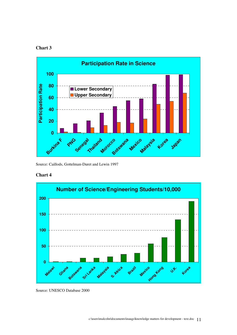#### **Chart 3**



Source: Caillods, Gottelman-Duret and Lewin 1997

#### **Chart 4**



Source: UNESCO Database 2000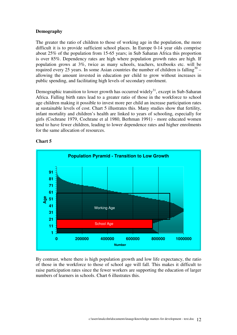#### **Demography**

The greater the ratio of children to those of working age in the population, the more difficult it is to provide sufficient school places. In Europe 0-14 year olds comprise about 25% of the population from 15-65 years; in Sub Saharan Africa this proportion is over 85%. Dependency rates are high where population growth rates are high. If population grows at 3%, twice as many schools, teachers, textbooks etc. will be required every 25 years. In some Asian countries the number of children is falling<sup>30</sup> – allowing the amount invested in education per child to grow without increases in public spending, and facilitating high levels of secondary enrolment.

Demographic transition to lower growth has occurred widely<sup>31</sup>, except in Sub-Saharan Africa. Falling birth rates lead to a greater ratio of those in the workforce to school age children making it possible to invest more per child an increase participation rates at sustainable levels of cost. Chart 5 illustrates this. Many studies show that fertility, infant mortality and children's health are linked to years of schooling, especially for girls (Cochrane 1979, Cochrane et al 1980, Berhman 1991) - more educated women tend to have fewer children, leading to lower dependence rates and higher enrolments for the same allocation of resources.



#### **Chart 5**

By contrast, where there is high population growth and low life expectancy, the ratio of those in the workforce to those of school age will fall. This makes it difficult to raise participation rates since the fewer workers are supporting the education of larger numbers of learners in schools. Chart 6 illustrates this.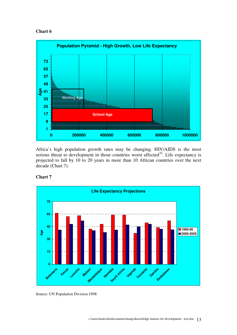#### **Chart 6**



Africa's high population growth rates may be changing. HIV/AIDS is the most serious threat to development in those countries worst affected<sup>32</sup>. Life expectancy is projected to fall by 10 to 20 years in more than 10 African countries over the next decade (Chart 7).



#### **Chart 7**

Source: UN Population Division 1998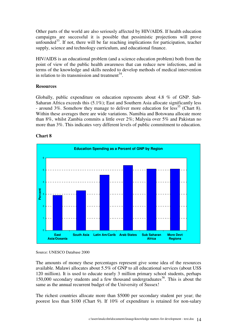Other parts of the world are also seriously affected by HIV/AIDS. If health education campaigns are successful it is possible that pessimistic projections will prove unfounded<sup>33</sup>. If not, there will be far reaching implications for participation, teacher supply, science and technology curriculum, and educational finance.

HIV/AIDS is an educational problem (and a science education problem) both from the point of view of the public health awareness that can reduce new infections, and in terms of the knowledge and skills needed to develop methods of medical intervention in relation to its transmission and treatment $^{34}$ .

#### **Resources**

Globally, public expenditure on education represents about 4.8 % of GNP. Sub-Saharan Africa exceeds this (5.1%); East and Southern Asia allocate significantly less - around  $3\%$ . Somehow they manage to deliver more education for less<sup>35</sup> (Chart 8). Within these averages there are wide variations. Namibia and Botswana allocate more than 8%, whilst Zambia commits a little over 2%; Malysia over 5% and Pakistan no more than 3%. This indicates very different levels of public commitment to education.



#### **Chart 8**

The amounts of money these percentages represent give some idea of the resources available. Malawi allocates about 5.5% of GNP to all educational services (about US\$ 120 million). It is used to educate nearly 3 million primary school students, perhaps 150,000 secondary students and a few thousand undergraduates<sup>36</sup>. This is about the same as the annual recurrent budget of the University of Sussex!

The richest countries allocate more than \$5000 per secondary student per year; the poorest less than \$100 (Chart 9). If 10% of expenditure is retained for non-salary

Source: UNESCO Database 2000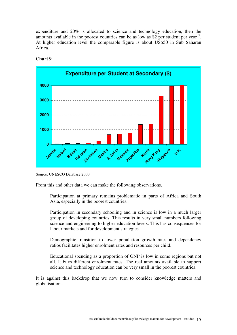expenditure and 20% is allocated to science and technology education, then the amounts available in the poorest countries can be as low as  $\frac{1}{2}$  per student per year<sup>37</sup>. At higher education level the comparable figure is about US\$50 in Sub Saharan Africa.



#### **Chart 9**

From this and other data we can make the following observations.

Participation at primary remains problematic in parts of Africa and South Asia, especially in the poorest countries.

Participation in secondary schooling and in science is low in a much larger group of developing countries. This results in very small numbers following science and engineering to higher education levels. This has consequences for labour markets and for development strategies.

Demographic transition to lower population growth rates and dependency ratios facilitates higher enrolment rates and resources per child.

Educational spending as a proportion of GNP is low in some regions but not all. It buys different enrolment rates. The real amounts available to support science and technology education can be very small in the poorest countries.

It is against this backdrop that we now turn to consider knowledge matters and globalisation.

Source: UNESCO Database 2000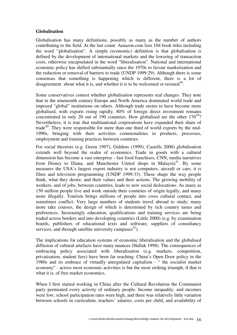#### **Globalisation**

Globalisation has many definitions, possibly as many as the number of authors contributing to the field. At the last count Amazon.com lists 104 book titles including the word "globalisation". A simple (economic) definition is that globalisation is defined by the development of international markets and the lowering of transaction costs, otherwise encapsulated in the word "liberalisation". National and international economic policy has shifted substantially since the 1970s to favour marketisation and the reduction or removal of barriers to trade (UNDP 1999:29). Although there is some consensus that something is happening which is different, there is a lot of disagreement about what it is, and whether it is to be welcomed or resisted<sup>38</sup>.

Some conservatives contest whether globalisation represents real changes. They note that in the nineteenth century Europe and North America dominated world trade and imposed "global" institutions on others. Although trade seems to have become more globalised, with exports rising rapidly, 80% of foreign direct investment remains concentrated in only 20 out of 190 countries. How globalised are the other  $170^{39}$ ? Nevertheless, it is true that multinational corporations have expanded their share of trade $40$ . They were responsible for more than one third of world exports by the mid-1990s, bringing with their activities commonalities in products, processes, employment and training practices between countries.

For social theorists (e.g. Green 1997), Giddens (1999), Castells 2000) globalisation extends well beyond the realm of economics. Trade in goods with a cultural dimension has become a vast enterprise - fast food franchises, CNN, media narratives from Disney to Diana, and Manchester United shops in Malaysia<sup>41</sup>. By some measures the USA's largest export industry is not computers, aircraft or cars; it is films and television programming (UNDP 1999:33). These shape the way people think, what they desire, and their values and their actions. The growing mobility of workers, and of jobs, between countries, leads to new social dislocations. As many as 150 million people live and work outside their countries of origin legally, and many more illegally. Tourism brings millions of people into cross cultural contact, and sometimes conflict. Very large numbers of students travel abroad to study; many more take courses, the design of which is determined by rich country tastes and preferences. Increasingly education, qualifications and training services are being traded across borders and into developing countries (Little 2000) (e.g. by examination boards, publishers of educational texts and software, suppliers of consultancy services, and through satellite university campuses $42$ ).

The implications for education systems of economic liberalisation and the globalised diffusion of cultural artefacts have many nuances (Hallak 1998). The consequences of embracing policy associated with liberalisation (e.g. markets, competition, privatisation, student fees) have been far reaching. China's Open Door policy in the 1980s and its embrace of virtually unregulated capitalism - " the socialist market economy" - across most economic activities is but the most striking triumph, if that is what it is, of free market economics.

When I first started working in China after the Cultural Revolution the Communist party permeated every activity of ordinary people. Income inequality, and incomes were low; school participation rates were high, and there was relatively little variation between schools in curriculum, teachers' salaries, costs per child, and availability of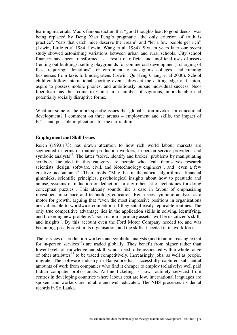learning materials. Mao's famous dictum that "good thoughts lead to good deeds" was being replaced by Deng Xiao Peng's pragmatic "the only criterion of truth is practice", "cats that catch mice deserve the cream" and "let a few people get rich" (Lewin, Little et al 1984, Lewin, Wang et al, 1984). Sixteen years later our recent study showed astonishing variations between urban and rural schools. City school finances have been transformed as a result of official and unofficial uses of assets (renting out buildings, selling playgrounds for commercial development), charging of fees, requiring "donations" for enrolment to prestigious colleges, and running businesses from taxis to kindergartens (Lewin, Qu Heng Chang et al 2000). School children follow international sporting events, dress at the cutting edge of fashion, aspire to possess mobile phones, and ambitiously pursue individual success. Neoliberalism has thus come to China in a number of vigorous, unpredictable and potentially socially disruptive forms.

What are some of the more specific issues that globalisation invokes for educational development? I comment on three arenas – employment and skills, the impact of ICTs, and possible implications for the curriculum.

#### **Employment and Skill Issues**

Reich (1993:173) has drawn attention to how rich world labour markets are segmented in terms of routine production workers, in-person service providers, and symbolic analysts<sup>43</sup>. The latter "solve, identify and broker" problems by manipulating symbols. Included in this category are people who "call themselves research scientists, design, software, civil, and biotechnology engineers", and "even a few creative accountants". Their tools "May be mathematical algorithms, financial gimmicks, scientific principles, psychological insights about how to persuade and amuse, systems of induction or deduction, or any other set of techniques for doing conceptual puzzles". This already sounds like a case in favour of emphasising investment in science and technology education. Reich sees symbolic analysts as a motor for growth, arguing that "even the most impressive positions in organisations are vulnerable to worldwide competition if they entail easily replicable routines. The only true competitive advantage lies in the application skills in solving, identifying, and brokering new problems". Each nation's primary assets "will be its citizen's skills and insights". By this account even the Ford Motor Company needed to, and was becoming, post-Fordist in its organisation, and the skills it needed in its work force.

The services of production workers and symbolic analysts (and to an increasing extent for in-person services<sup>44</sup>) are traded globally. They benefit from higher rather than lower levels of knowledge and skill, which need to be associated with a whole range of other attributes<sup>45</sup> to be traded competitively. Increasingly jobs, as well as people, migrate. The software industry in Bangalore has successfully captured substantial amounts of work from companies who find it cheaper to employ (relatively) well paid Indian computer professionals. Airline ticketing is now routinely serviced from centres in developing countries where labour cost are low, international languages are spoken, and workers are reliable and well educated. The NHS processes its dental records in Sri Lanka.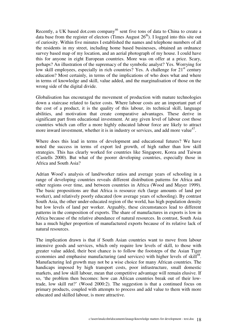Recently, a UK based dot.com company<sup>46</sup> sent five tons of data to China to create a data base from the register of electors (Times August  $26<sup>th</sup>$ ). I logged into this site out of curiosity. Within five minutes I established the names and telephone numbers of all the residents in my street, including home based businesses, obtained an ordnance survey based map of my location, and an aerial photograph of my house. I could have this for anyone in eight European countries. More was on offer at a price. Scary, perhaps? An illustration of the supremacy of the symbolic analyst? Yes. Worrying for low skill employees, especially in rich countries? Yes. A challenge for  $21<sup>st</sup>$  century education? Most certainly, in terms of the implications of who does what and where in terms of knowledge and skill, value added, and the marginalisation of those on the wrong side of the digital divide.

Globalisation has encouraged the movement of production with mature technologies down a staircase related to factor costs. Where labour costs are an important part of the cost of a product, it is the quality of this labour, its technical skill, language abilities, and motivation that create comparative advantages. These derive in significant part from educational investment. At any given level of labour cost those countries which can offer a more highly educated labour force are likely to attract more inward investment, whether it is in industry or services, and add more value $47$ .

Where does this lead in terms of development and educational futures? We have noted the success in terms of export led growth, of high rather than low skill strategies. This has clearly worked for countries like Singapore, Korea and Taiwan (Castells 2000). But what of the poorer developing countries, especially those in Africa and South Asia?

Adrian Wood's analysis of land/worker ratios and average years of schooling in a range of developing countries reveals different distribution patterns for Africa and other regions over time, and between countries in Africa (Wood and Mayer 1999). The basic propositions are that Africa is resource rich (large amounts of land per worker), and relatively poorly educated (low average years of schooling). By contrast South Asia, the other under-educated region of the world, has high population density but low levels of land per worker. Arguably, these circumstances lead to different patterns in the composition of exports. The share of manufactures in exports is low in Africa because of the relative abundance of natural resources. In contrast, South Asia has a much higher proportion of manufactured exports because of its relative lack of natural resources.

The implication drawn is that if South Asian countries want to move from labour intensive goods and services, which only require low levels of skill, to those with greater value added, their best chance is to follow the footsteps of the Asian Tiger economies and emphasise manufacturing (and services) with higher levels of skill $48$ . Manufacturing led growth may not be a wise choice for many African countries. The handicaps imposed by high transport costs, poor infrastructure, small domestic markets, and low skill labour, mean that competitive advantage will remain elusive. If so, 'the problem then becomes: how can African countries break out of their lowtrade, low skill rut?' (Wood 2000:2). The suggestion is that a continued focus on primary products, coupled with attempts to process and add value to them with more educated and skilled labour, is more attractive.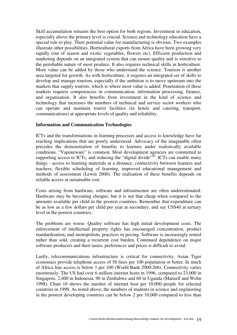Skill accumulation remains the best option for both regions. Investment in education, especially above the primary level is crucial. Science and technology education have a special role to play. Their potential value for manufacturing is obvious. Two examples illustrate other possibilities. Horticultural exports from Africa have been growing very rapidly (out of season and exotic vegetables, flowers etc). Efficient production and marketing depends on an integrated system that can ensure quality and is sensitive to the perishable nature of most produce. It also requires technical skills in horticulture. More value can be added by those who understand the science. Tourism is another area targeted for growth. As with horticulture, it requires an integrated set of skills to develop and manage tourism, especially if the ambition is to move upstream into the markets that supply tourists, which is where most value is added. Penetration of these markets requires competencies in communication, information processing, finance, and organisation. It also benefits from investment in the kind of science and technology that increases the numbers of technical and service sector workers who can operate and maintain tourist facilities (in hotels and catering, transport, communications) at appropriate levels of quality and reliability.

#### **Information and Communication Technologies**

ICTs and the transformations in learning processes and access to knowledge have far reaching implications that are poorly understood. Advocacy of the imaginable often precedes the demonstration of benefits to learners under realistically available conditions. "Vapourware" is common. Most development agencies are committed to supporting access to ICTs, and reducing the "digital divide"<sup> $\overline{49}$ </sup>. ICTs can enable many things - access to learning materials at a distance, connectivity between learners and teachers, flexible scheduling of learning, improved educational management and methods of assessment (Lewin 2000). The realisation of these benefits depends on reliable access at sustainable cost.

Costs arising from hardware, software and infrastructure are often underestimated. Hardware may be becoming cheaper, but it is not that cheap when compared to the amounts available per child in the poorest countries. Remember that expenditure can be as low as a few dollars per child per year at secondary, and say US\$40 at tertiary level in the poorest countries.

The problems are worse. Quality software has high initial development costs. The enforcement of intellectual property rights has encouraged concentration, product standardisation, and monopolistic practices in pricing. Software is increasingly rented rather than sold, creating a recurrent cost burden. Continued dependence on major software producers and their tastes, preferences and prices is difficult to avoid.

Lastly, telecommunications infrastructure is critical for connectivity. Asian Tiger economies provide telephone access of 50 lines per 100 population or better. In much of Africa line access is below 1 per 100 (World Bank 2000:266). Connectivity varies enormously. The US had over 6 million internet hosts in 1996, compared to 23,000 in Singapore, 2,400 in Indonesia, 90 in Zimbabwe and 60 in Uganda (Mansell and Wehn 1998). Chart 10 shows the number of internet host per 10,000 people for selected countries in 1998. As noted above, the numbers of students in science and engineering in the poorest developing countries can be below 2 per 10,000 compared to less than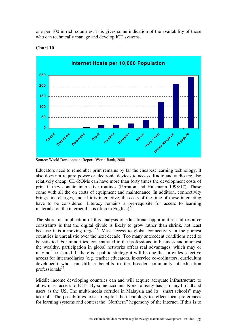one per 100 in rich countries. This gives some indication of the availability of those who can technically manage and develop ICT systems.



#### **Chart 10**

Source: World Development Report, World Bank, 2000

Educators need to remember print remains by far the cheapest learning technology. It also does not require power or electronic devices to access. Radio and audio are also relatively cheap. CD-ROMs can have more than forty times the development costs of print if they contain interactive routines (Perraton and Hulsmann 1998:17). These come with all the on costs of equipment and maintenance. In addition, connectivity brings line charges, and, if it is interactive, the costs of the time of those interacting have to be considered. Literacy remains a pre-requisite for access to learning materials; on the internet this is often in English)<sup>50</sup>.

The short run implication of this analysis of educational opportunities and resource constraints is that the digital divide is likely to grow rather than shrink, not least because it is a moving target<sup>51</sup>. Mass access to global connectivity in the poorest countries is unrealistic over the next decade. Too many antecedent conditions need to be satisfied. For minorities, concentrated in the professions, in business and amongst the wealthy, participation in global networks offers real advantages, which may or may not be shared. If there is a public strategy it will be one that provides selective access for intermediaries (e.g. teacher educators, in-service co-ordinators, curriculum developers) who can diffuse benefits to the broader community of education professionals<sup>52</sup>.

Middle income developing countries can and will acquire adequate infrastructure to allow mass access to ICTs. By some accounts Korea already has as many broadband users as the US. The multi-media corridor in Malaysia and its "smart schools" may take off. The possibilities exist to exploit the technology to reflect local preferences for learning systems and contest the "Northern" hegemony of the internet. If this is to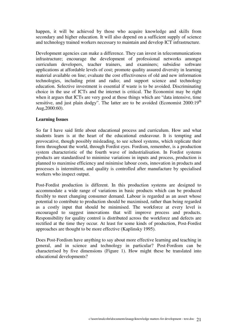happen, it will be achieved by those who acquire knowledge and skills from secondary and higher education. It will also depend on a sufficient supply of science and technology trained workers necessary to maintain and develop ICT infrastructure.

Development agencies can make a difference. They can invest in telecommunications infrastructure; encourage the development of professional networks amongst curriculum developers, teacher trainers, and examiners; subsidise software applications at affordable levels of cost; promote quality assured diversity in learning material available on line; evaluate the cost effectiveness of old and new information technologies, including print and radio; and support science and technology education. Selective investment is essential if waste is to be avoided. Discriminating choice in the use of ICTs and the internet is critical. The Economist may be right when it argues that ICTs are very good at those things which are "data intensive, time sensitive, and just plain dodgy". The latter are to be avoided (Economist  $2000:19<sup>th</sup>$ Aug,2000:60).

#### **Learning Issues**

So far I have said little about educational process and curriculum. How and what students learn is at the heart of the educational endeavour. It is tempting and provocative, though possibly misleading, to see school systems, which replicate their form throughout the world, through Fordist eyes. Fordism, remember, is a production system characteristic of the fourth wave of industrialisation. In Fordist systems products are standardised to minimise variations in inputs and process, production is planned to maximise efficiency and minimise labour costs, innovation in products and processes is intermittent, and quality is controlled after manufacture by specialised workers who inspect output.

Post-Fordist production is different. In this production systems are designed to accommodate a wide range of variations in basic products which can be produced flexibly to meet changing consumer demand. Labour is regarded as an asset whose potential to contribute to production should be maximised, rather than being regarded as a costly input that should be minimised. The workforce at every level is encouraged to suggest innovations that will improve process and products. Responsibility for quality control is distributed across the workforce and defects are rectified at the time they occur. At least for some kinds of production, Post-Fordist approaches are thought to be more effective (Kaplinsky 1995).

Does Post-Fordism have anything to say about more effective learning and teaching in general, and in science and technology in particular? Post-Fordism can be characterised by five dimensions (Figure 1). How might these be translated into educational developments?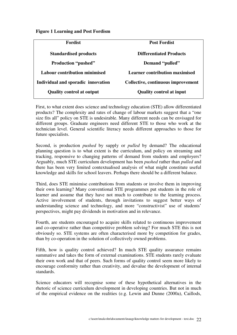#### **Figure 1 Learning and Post Fordism**

| <b>Fordist</b>                       | <b>Post Fordist</b>                   |
|--------------------------------------|---------------------------------------|
| <b>Standardised products</b>         | <b>Differentiated Products</b>        |
| <b>Production "pushed"</b>           | Demand "pulled"                       |
| <b>Labour contribution minimised</b> | <b>Learner contribution maximised</b> |
| Individual and sporadic innovation   | Collective, continuous improvement    |
| <b>Quality control at output</b>     | <b>Quality control at input</b>       |

First, to what extent does science and technology education (STE) allow differentiated products? The complexity and rates of change of labour markets suggest that a "one size fits all" policy on STE is undesirable. Many different needs can be envisaged for different groups. Graduate engineers need different STE to those who work at the technician level. General scientific literacy needs different approaches to those for future specialists.

Second, is production *pushed* by supply or *pulled* by demand? The educational planning question is to what extent is the curriculum, and policy on streaming and tracking, responsive to changing patterns of demand from students and employers? Arguably, much STE curriculum development has been *pushed* rather than *pulled* and there has been very limited contextualised analysis of what might constitute useful knowledge and skills for school leavers. Perhaps there should be a different balance.

Third, does STE minimise contributions from students or involve them in improving their own learning? Many conventional STE programmes put students in the role of learner and assume that they have not much to contribute to the learning process. Active involvement of students, through invitations to suggest better ways of understanding science and technology, and more "constructivist" use of students' perspectives, might pay dividends in motivation and in relevance.

Fourth, are students encouraged to acquire skills related to continuous improvement and co-operative rather than competitive problem solving? For much STE this is not obviously so. STE systems are often characterised more by competition for grades, than by co-operation in the solution of collectively owned problems.

Fifth, how is quality control achieved? In much STE quality assurance remains summative and takes the form of external examinations. STE students rarely evaluate their own work and that of peers. Such forms of quality control seem more likely to encourage conformity rather than creativity, and devalue the development of internal standards.

Science educators will recognise some of these hypothetical alternatives in the rhetoric of science curriculum development in developing countries. But not in much of the empirical evidence on the realities (e.g. Lewin and Dunne (2000a), Caillods,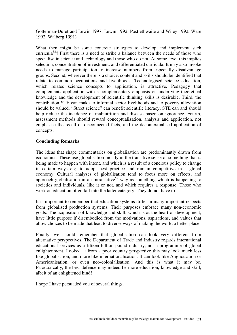Gottelman-Duret and Lewin 1997, Lewin 1992, Postlethwaite and Wiley 1992, Ware 1992, Walberg 1991).

What then might be some concrete strategies to develop and implement such curricula<sup>53</sup>? First there is a need to strike a balance between the needs of those who specialise in science and technology and those who do not. At some level this implies selection, concentration of investment, and differentiated curricula. It may also invoke needs to manage participation to increase numbers from especially disadvantage groups. Second, wherever there is a choice, content and skills should be identified that relate to common occupations and livelihoods. Technologised science education, which relates science concepts to application, is attractive. Pedagogy that complements application with a complementary emphasis on underlying theoretical knowledge and the development of scientific thinking skills is desirable. Third, the contribution STE can make to informal sector livelihoods and to poverty alleviation should be valued. "Street science" can benefit scientific literacy; STE can and should help reduce the incidence of malnutrition and disease based on ignorance. Fourth, assessment methods should reward conceptualization, analysis and application, not emphasise the recall of disconnected facts, and the decontextualised application of concepts.

#### **Concluding Remarks**

The ideas that shape commentaries on globalisation are predominantly drawn from economics. These use globalisation mostly in the transitive sense of something that is being made to happen with intent, and which is a result of a concious policy to change in certain ways e.g. to adopt best practice and remain competitive in a global economy. Cultural analyses of globalisation tend to focus more on effects, and approach globalisation in an intransitive<sup>54</sup> way as something which is happening to societies and individuals, like it or not, and which requires a response. Those who work on education often fall into the latter category. They do not have to.

It is important to remember that education systems differ in many important respects from globalised production systems. Their purposes embrace many non-economic goals. The acquisition of knowledge and skill, which is at the heart of development, have little purpose if disembodied from the motivations, aspirations, and values that allow choices to be made that lead to diverse ways of making the world a better place.

Finally, we should remember that globalisation can look very different from alternative perspectives. The Department of Trade and Industry regards international educational services as a fifteen billion pound industry, not a programme of global enlightenment. Looked at from a poor country perspective this may look much less like globalisation, and more like internationalisation. It can look like Anglicisation or Americanisation, or even neo-colonialisation. And this is what it may be. Paradoxically, the best defence may indeed be more education, knowledge and skill, albeit of an enlightened kind!

I hope I have persuaded you of several things.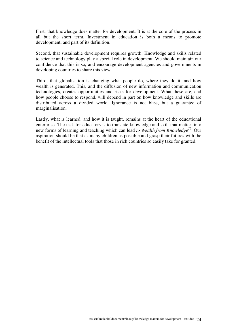First, that knowledge does matter for development. It is at the core of the process in all but the short term. Investment in education is both a means to promote development, and part of its definition.

Second, that sustainable development requires growth. Knowledge and skills related to science and technology play a special role in development. We should maintain our confidence that this is so, and encourage development agencies and governments in developing countries to share this view.

Third, that globalisation is changing what people do, where they do it, and how wealth is generated. This, and the diffusion of new information and communication technologies, creates opportunities and risks for development. What these are, and how people choose to respond, will depend in part on how knowledge and skills are distributed across a divided world. Ignorance is not bliss, but a guarantee of marginalisation.

Lastly, what is learned, and how it is taught, remains at the heart of the educational enterprise. The task for educators is to translate knowledge and skill that matter, into new forms of learning and teaching which can lead *to Wealth from Knowledge<sup>55</sup>*. Our aspiration should be that as many children as possible and grasp their futures with the benefit of the intellectual tools that those in rich countries so easily take for granted.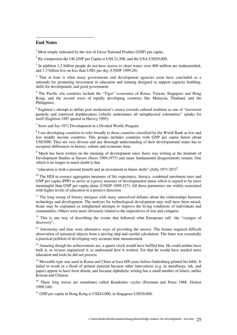#### **End Notes**

 $\overline{a}$ 

 $1$  Most simply indicated by the size of Gross National Product (GNP) per capita.

 $2^{2}$  By comparison the UK GNP per Capita is US\$ 21,500, and the USA US\$29,000.

 $3$  In addition 1.3 billion people do not have access to clean water; over 800 million are malnourished, and 1.3 billion live on less than US\$1 per day (UNDP 1999:28).

<sup>4</sup> That at least is what many governments and development agencies seem have concluded as a rationale for promoting investment in education and training designed to support capacity building, skills for development, and good government.

<sup>5</sup> The Pacific rim countries include the "Tiger" economies of Korea, Taiwan, Singapore and Hong Kong, and the second wave of rapidly developing countries like Malaysia, Thailand, and the Philippines.

<sup>6</sup> Eagleton's attempt to define post modernism's stance towards cultural tradition as one of "irreverent pastiche and contrived depthlessness (which) undermines all metaphysical solemnities" speaks for itself (Eagleton 1987 quoted in Harvey 1995).

<sup>7</sup> Seers and Joy 1971 Development in a Divided World, Penguin.

 $8<sup>8</sup>$  I use developing countries to refer broadly to those countries classified by the World Bank as low and low middle income countries. This groups includes countries with GNP per capita below about US\$3000. They are very diverse and any thorough understanding of their developmental status has to recognise differences in history, culture and economic base.

<sup>9</sup> Much has been written on the meaning of development since Seers was writing at the Institute of Development Studies at Sussex (Seers 1969,1977) and many fundamental disagreements remain. One which is no longer in much doubt is that

"education is both a present benefit and an investment in future skills" (Jolly  $1971:207$ )<sup>9</sup>.

 $10$  The HDI in essence aggregates measures of life expectancy, literacy, combined enrolment rates and GNP per capita (PPP) to arrive at a proxy measure of developmental status which is argued to be more meaningful than GNP per capita alone (UNDP 1999:127). All these parameters are widely associated with higher levels of education in a positive direction.

 $11$  The long sweep of history intrigues with many unresolved debates about the relationships between technology and development. The motives for technological development may well have been mixed. Some may be explained as enlightened attempts to improve the living conditions of individuals and communities. Others were more obviously related to the imperatives of war and conquest.

 $12$  This is one way of describing the events that followed what Europeans call the "voyages of discovery",

<sup>13</sup> Astronomy and time were alternative ways of providing the answer. The former required difficult observation of astronical objects from a moving ship and careful calculation. The latter was essentially a practical problem of developing very accurate time measurement.

<sup>14</sup> Amazing though his achievements are, a quartz clock would have baffled him. He could neither have built it, or reverse engineered it, to understand how it worked. For that he would have needed more education and tools he did not possess.

<sup>15</sup> Moveable type was used in Korea and China at least 600 years before Guttenburg printed his bible. It failed to result in a flood of printed material because other innovations (e.g. in metallurgy, ink, and paper) appear to have been absent, and because alphabetic writing has a small number of letters, unlike Korean and Chinese.

<sup>16</sup> These long waves are sometimes called Kondratiev cycles (Freeman and Perez 1988, Dicken 1998:148)

 $17$  GNP per capita in Hong Kong is US\$24,000, in Singapore US\$30,000.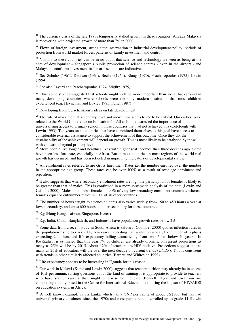$18$  The currency crisis of the late 1990s temporarily stalled growth in these countries. Already Malaysia is recovering with projected growth of more than 7% in 2000.

<sup>19</sup> Flows of foreign investment, strong state intervention in industrial development policy, periods of protection from world market forces, patterns of family investment and control

 $20$  Visitors to these countries can be in no doubt that science and technology are seen as being at the core of development – Singapore's public promotion of science centres - even in the airport - and Malaysia's confident investment in "smart" schools are indicative.

<sup>21</sup> See Schultz (1961), Denison (1964), Becker (1964), Blaug (1970), Psacharopoulos (1975), Lewin (1994).

 $22$  See also Lavard and Psacharopoulos 1974, Stiglitz 1975,

 $\overline{a}$ 

 $23$  Thus some studies suggested that schools might well be more important than social background in many developing countries where schools were the only modern institution that most children experienced (e.g. Heyneman and Loxley 1983, Fuller 1987)

 $24$  Developing from Gerschenkron's ideas on late development.

 $25$  The role of investment at secondary level and above now seems to me to be critical. Our earlier work related to the World Conference on Education for All at Jomtien stressed the importance of universalising access to primary school in those countries that had not achieved this (Colclough with Lewin 1993). Ten years on all countries that have committed themselves to this goal have access to considerable external assistance to support the achievement of this outcome. Once they do, the sustainability of the achievement will depend on growth. This is most likely to be catalysed by those with education beyond primary level.

<sup>26</sup> More people live longer and healthier lives with higher real incomes than three decades ago. Some have been less fortunate, especially in Africa. But in most countries in most regions of the world real growth has occurred, and has been reflected in improving indicators of developmental status.

<sup>27</sup> All enrolment rates referred to are Gross Enrolment Rates i.e. the number enrolled over the number in the appropriate age group. These rates can be over  $100\%$  as a result of over age enrolment and repetition.

<sup>28</sup> It also suggests that where secondary enrolment rates are high the particiaption of females is likely to be greater than that of males. This is confirmed in a more systematic analysis of the data (Lewin and Caillods 2000). Males outnumber females in 90% of very low secondary enrolment countries, whereas females equal or outnumber males in 70% of all other countries.

 $29$  The number of hours taught to science students also varies widely from 150 to 450 hours a year at lower secondary, and up to 600 hours at upper secondary for these countries

<sup>30</sup> E.g (Hong Kong, Taiwan, Singapore, Korea)

 $31$  E.g. India, China, Bangladesh, and Indonesia have population growth rates below 2%.

<sup>32</sup> Some data from a recent study in South Africa is salutary. Coombe (2000) quotes infection rates in the population rising to over 20%, new cases exceeding half a million a year, the number of orphans exceeding 2 million, and life expectancy falling dramatically from over 50 to below 40 years. In KwaZulu it is estimated that this year 7% of children are already orphans; on current projections as many as 25% will be by 2015. About 12% of teachers are HIV positive. Projections suggest that as many as 25% of educators will die over the next decade on current trends (UNDP). This is consistent with trends in other similarly affected countries (Barnett and Whiteside 1999).

<sup>33</sup> Life expectancy appears to be increasing in Uganda for this reason.

 $34$  Our work in Malawi (Kunje and Lewin 2000) suggests that teacher attrition may already be in excess of 10% per annum, raising questions about the kind of training it is appropriate to provide to teachers who have shorter careers than might otherwise be the case. Bennell, Hyde and Swainson are completing a study based in the Centre for International Education exploring the impact of HIV/AIDS on education systems in Africa.

<sup>35</sup> A well known example is Sri Lanka which has a GNP per capita of about US\$800, but has had universal primary enrolment since the 1970s and most pupils remain enrolled up to grade 11 (Lewin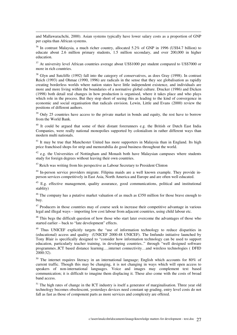and Mallawarachchi, 2000). Asian systems typically have lower salary costs as a proportion of GNP per capita than African systems.

 $\overline{a}$ 

<sup>36</sup> In contrast Malaysia, a much richer country, allocated 5.2% of GNP in 1996 (US\$4.7 billion) to educate about 2.6 million primary students, 1.5 million secondary, and over 200,000 in higher education.

<sup>37</sup> At university level African countries average about US\$1000 per student compared to US\$7000 or more in rich countries.

<sup>38</sup> Glyn and Sutcliffe (1992) fall into the category of conservatives, as does Gray (1998). In contrast Reich (1993) and Ohmae (1990, 1996) are radicals in the sense that they see globalisation as rapidly creating borderless worlds where nation states have little independent existence, and individuals are more and more living within the boundaries of a normative global culture. Drucker (1986) and Dicken (1998) both detail real changes in how production is organised, where it takes place and who plays which role in the process. But they stop short of seeing this as leading to the kind of convergence in economic and social organisation that radicals envision. Lewin, Little and Evans (2000) review the positions of different authors.

<sup>39</sup> Only 25 countries have access to the private market in bonds and equity, the rest have to borrow from the World Bank.

<sup>40</sup> It could be argued that some of their distant forerunners e.g. the British or Dutch East India Companies, were really national monopolies supported by colonialism in rather different ways than modern multi nationals.

<sup>41</sup> It may be true that Manchester United has more supporters in Malaysia than in England. Its high price franchised shops for strip and memorabilia do good business throughout the world.

 $42$  e.g. the Universities of Nottingham and Monash both have Malaysian campuses where students study for foreign degrees without leaving their own countries.

<sup>43</sup> Reich was writing from his perspective as Labour Secretary to President Clinton

<sup>44</sup> In-person service providers migrate. Filipina maids are a well known example. They provide inperson services competitively in East Asia, North America and Europe and are often well educated.

<sup>45</sup> E.g. effective management, quality assurance, good communications, political and institutional stablity)

<sup>46</sup> The company has a putative market valuation of as much as £350 million for those brave enough to buy.

 $47$  Producers in those countries may of course seek to increase their competitive advantage in various legal and illegal ways – importing low cost labour from adjacent countries, using child labour etc.

<sup>48</sup> This begs the difficult question of how those who start later overcome the advantages of those who started earlier – back to "late development" effects.

<sup>49</sup> Thus UNICEF explicitly targets the "use of information technology to reduce disparities in (educational) access and quality (UNICEF 2000:48 UNICEF). The Imfundo initiative launched by Tony Blair is specifically designed to "consider how information technology can be used to support education, particularly teacher training, in developing countries.." through "well designed software programmes..ICT based distance learning….internet connectivity…and wireless technologies ( DFID 2000:32).

<sup>50</sup> The internet requires literacy in an international language; English which accounts for 80% of current traffic. Though this may be changing, it is not changing in ways which will open access to speakers of non-international languages. Voice and images may complement text based communication; it is difficult to imagine them displacing it. These also come with the costs of broad band access.

<sup>51</sup> The high rates of change in the ICT industry is itself a generator of marginalisation. Three year old technology becomes obsolescent, yesterdays devices need constant up grading, entry level costs do not fall as fast as those of component parts as more services and complexity are offered.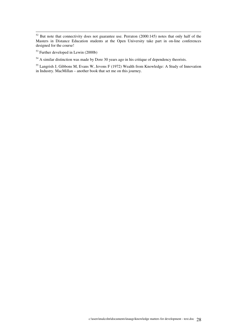$\overline{a}$ 

<sup>54</sup> A similar distinction was made by Dore 30 years ago in his critique of dependency theorists.

<sup>55</sup> Langrish J, Gibbons M, Evans W, Jevons F (1972) Wealth from Knowledge: A Study of Innovation in Industry. MacMillan – another book that set me on this journey.

 $52$  But note that connectivity does not guarantee use. Perraton (2000:145) notes that only half of the Masters in Distance Education students at the Open University take part in on-line conferences designed for the course!

<sup>53</sup> Further developed in Lewin (2000b)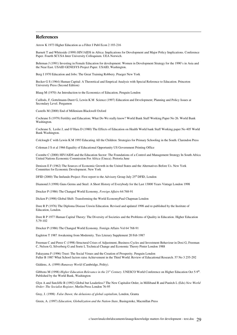#### **References**

 $\overline{a}$ 

Arrow K 1973 Higher Education as a Filter J Publ Econ 2 193-216

Barnett T and Whiteside (1999) HIV/AIDS in Africa: Implications for Development and Major Policy Implications. Conference Paper. Fourth SCUSA Inter University Colloquium. UEA Norwich.

Behrman J (1991) Investing in Female Education for development: Women in Development Strategy for the 1990's in Asia and the Near East. USAID GENESYS Project Paper. USAID, Washington.

Berg I 1970 Education and Jobs: The Great Training Robbery. Praeger New York

Becker G S (1964) Human Capital: A Theoretical and Emprical Analysis with Special Reference to Education. Princeton University Press (Second Edition)

Blaug M (1970) An Introduction to the Economics of Education, Penguin London

Caillods, F, Gottelmann-Duret G, Lewin K M Science (1997) Education and Development; Planning and Policy Issues at Secondary Level. Pergamon

Castells M (2000) End of Millenium Blackwell Oxford

Cochrane S (1979) Fertility and Education; What Do We really know? World Bank Staff Working Paper No 26. World Bank Washington.

Cochrane S, Leslie J, and O'Hara D (1980) The Effects of Education on Health World bank Staff Working paper No 405 World Bank Washington.

Colclough C with Lewin K M 1993 Educating All the Children: Strategies for Primary Schooling in the South. Clarendon Press

Coleman J S et al 1966 Equality of Educational Opportunity US Government Printing Office

Coombe C (2000) HIV/AIDS and the Education Sector: The Foundations of a Control and Management Strategy In South Africa United Nations Economic Commission For Africa (Uneca). Pretoria June

Denison E F (1962) The Sources of Economic Growth in the United States and the Alternatives Before Us. New York Committee for Economic Development. New York

DFID (2000) The Imfundo Project: First report to the Advisory Group July  $25<sup>th</sup>$  DFID, London

Diamond J (1998) Guns Germs and Steel: A Short History of Everybody for the Last 13000 Years Vintage London 1998

Drucker P (1986) The Changed World Economy, *Foreign Affairs* 64:768-91

Dicken P (1998) Global Shift: Transforming the World EconomyPaul Chapman London

Dore R P (1976) The Diploma Disease Unwin Education. Revised and updated 1998 and re-published by the Institute of Education, London.

Dore R P 1977 Human Capital Theory: The Diversity of Societies and the Problems of Quality in Education. Higher Education 5,79-102

Drucker P (1986) The Changed World Economy. Foreign Affairs Vol 64 768-91

Eagleton T 1987 Awakening from Modernity. Ties Literary Supplement 20 Feb 1987

Freeman C and Perez C (1998) Structural Crises of Adjustment, Business Cycles and Investment Behaviour in Dosi G, Freeman C, Nelson G, Silverberg G and Soete L Technical Change and Economic Theory Pinter London 1988

Fukuyama F (1996) Trust: The Social Virues and the Creation of Prosperity. Penguin London Fuller B 1987 What School factors raise Achievement in the Third World. Review of Educational Research. 57 No 3 255-292

Giddens, A. (1999) *Runaway World* (Cambridge, Polity).

Gibbons M (1998) *Higher Education Relevance in the 21<sup>st</sup> Century*. UNESCO World Conference on Higher Education Oct 5-9<sup>th</sup>. Published by the World Bank, Washington

Glyn A and Sutcliffe B (1992) Global but Leaderless? The New Capitalist Order, in Milliband R and Panitch L (Eds) *New World Order: The Socialist Register*, Merlin Press London 76-95

Gray, J. (1998) *False Dawn; the delusions of global capitalism*, London, Granta

Green, A. (1997) *Education, Globalization and the Nation-State*, Basingstoke, Macmillan Press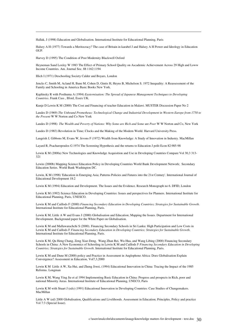Hallak, J (1998) Education and Globalisation. International Institute for Educational Planning, Paris

Halsey A H (1977) Towards a Meritocracy? The case of Britain in karabel J and Halsey A H Power and Ideology in Education OUP.

Harvey D (1995) The Condition of Post Modernity Blackwell Oxford

Heyneman Sand Loxley W 1983 The Effect of Primary School Quality on Ascademic Achievement Across 29 High and Loww Income Countries. Am. Journal Soc. 88 1162:1194

Illich I (1971) Deschooling Society Calder and Boyars, London

 $\overline{a}$ 

Jencks C, Smith M, Acland H, Bane M, Cohen D, Gintis H, Heyns B, Michelson S. 1972 Inequality: A Reassessment of the Family and Schooling in America Basic Books New York.

Kaplinsky R with Posthuma A (1994) *Easternisation: The Spread of Japanese Management Techniques to Developing Countries*. Frank Cass , Ilford, Essex UK.

Kunje D Lewin K M (2000) The Cost and Financing of teacher Education in Malawi. MUSTER Discussion Paper No 2

Landes D (1969) *The Unbound Prometheus: Technological Change and Industrial Development in Western Europe from 1750 to the Present* W W Norton and Co New York

Landes D (1998) *The Wealth and Poverty of Nations: Why Some are Rich and Some* are *Poor* W W Norton and Co, New York

Landes D (1983) Revolution in Time; Clocks and the Making of the Modern World. Harvard University Press.

Langrish J, Gibbons M, Evans W, Jevons F (1972) Wealth from Knowledge: A Study of Innovation in Industry. MacMillan

Layard R, Psacharopoulos G 1974 The Screening Hypothesis and the returns to Education J polit Econ 82:985-98

Lewin K M (2000a) New Technologies and Knowledge Acquisition and Use in Developing Countries Compare Vol 30,3 313- 321

Lewin (2000b) Mapping Science Education Policy in Developing Countries World Bank Development Network; Secondary Education Series. World Bank Washington DC.

Lewin, K M (1998) 'Education in Emerging Asia; Patterns Policies and Futures into the 21st Century'. International Journal of Educational Development 18:2

Lewin K M (1994) Education and Development. The Issues and the Evidence. Research Monograph no 6. DFID, London

Lewin K M (1992) Science Education in Developing Countries: Issues and perspectives for Planners. International Institute for Educational Planning, Paris, UNESCO.

Lewin K M and Caillods F (2000) *Financing Secondary Education in Developing Countries; Strategies for Sustainable Growth*. International Institute for Educational Planning, Paris.

Lewin K M, Little A W and Evans J (2000) Globalisation and Education; Mapping the Issues. Department for International Development. Background paper for the White Paper on Globalisation.

Lewin K M and Mallawarachchi S (2000). Financing Secondary Schools in Sri Lanka: High Participation and Low Costs in Lewin K M and Caillods F *Financing Secondary Education in Developing Countries; Strategies for Sustainable Growth*. International Institute for Educational Planning, Paris.

Lewin K M, Qu Heng Chang, Zeng Xiao Deng, Wang Zhan Rei, Wu Hua, and Wang Libing (2000) Financing Secondary Schools in China: A New Economics of Schooling in Lewin K M and Caillods F *Financing Secondary Education in Developing Countries; Strategies for Sustainable Growth*. International Institute for Educational Planning, Paris.

Lewin K M and Dune M (2000) policy and Practice in Assessment in Anglophone Africa: Does Globalisation Explain Convergence? Assessment in Education, Vol7,3,2000

Lewin K M Little A W, Xu Hui, and Zheng Jiwei, (1994) Educational Innovation in China: Tracing the Impact of the 1985 Reforms. Longman

Lewin K M, Wang Ying Jie et al 1994 Implementing Basic Education in China: Progress and prospects in Rich, poor and national Minority Areas. International Institute of Educational Planning, UNECO, Paris

Lewin K M with Stuart J (eds) (1991) Educational Innovation in Developing Countries: Case Studies of Changemakers. MacMillan

Little A W (ed) 2000 Globalisation, Qualifications and Livelihoods. Assessment in Education; Principles, Policy and practice Vol 7:3 (Special Issue).